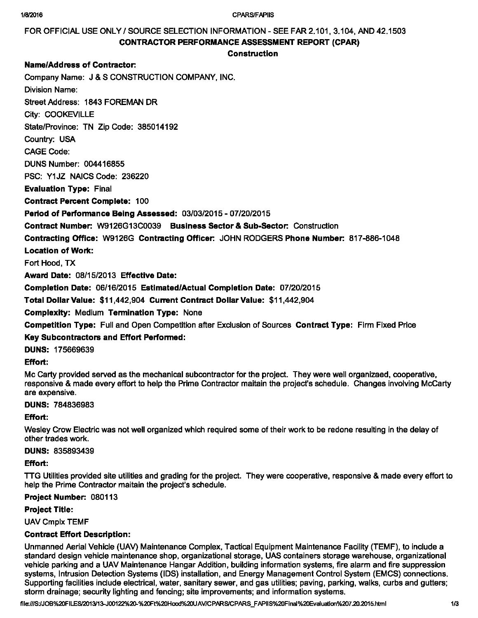#### 1/8/2016 CPARSIFAPIIS

FOR OFFICIAL USE ONLY / SOURCE SELECTION INFORMATION - SEE FAR 2,101, 3,104, AND 42,1503 CONTRACTOR PERFORMANCE ASSESSMENT REPORT (CPAR)

# Construction

# Name/Address of Contractor:

Company Name: J & S CONSTRUCTION COMPANY, INC.

Division Name:

Street Address: 1843 FOREMAN DR

City: COOKEVILLE

State/Province: TN Zip Code: 385014192

Country: USA

CAGE Code:

DUNS Number: 004416855

PSC: Y1JZ NAICS Code: 236220

Evaluation Type: Final

Contract Percent Complete: 100

# Period of Perfonnance Being Assessed: 03/03/2015 - 07/20/2015

Contract Number: W9126G13C0039 Business Sector & Sub-Sector: Construction

Contracting Office: W9126G Contracting Officer: JOHN RODGERS Phone Number: 817-886-1048

Location of Work:

Fort Hood, TX

Award Date: 08/15/2013 Effective Date:

Completion Date: 06/16/2015 Estimated/Actual Completion Date: 07/20/2015

Total Dollar Value: \$11,442,904 Current Contract Dollar Value: \$11,442,904

**Complexity: Medium Termination Type: None** 

Competition Type: Full and Open Competition after Exclusion of Sources Contract Type: Firm Fixed Price

### Key Subcontractors and Effort Perfonned:

DUNS: 175669639

# Effort:

Mc Carty provided served as the mechanical subcontractor for the project. They were well organizaed, cooperative, responsive & made every effort to help the Prime Contractor maitain the project's schedule. Changes involving McCarty are expensive.

DUNS: 784836983

### Effort:

Wesley Crow Electric was not well organized which required some of their work to be redone resulting in the delay of other trades work.

# DUNS: 835893439

Effort:

TTG Utilities provided site utilities and grading for the project. They were cooperative, responsive & made every effort to help the Prime Contractor maitain the project's schedule.

### Project Number: 080113

### Project Title:

UAV Cmplx TEMF

# Contract Effort Description:

Unmanned Aerial Vehicle (UAV) Maintenance Complex, Tactical Equipment Maintenance Facility (TEMF), to include a standard design vehicle maintenance shop, organizational storage, UAS containers storage warehouse, organizational vehicle parking and a UAV Maintenance Hangar Addition, building information systems, fire alarm and fire suppression systems, Intrusion Detection Systems (IDS) installation, and Energy Management Control System (EMCS) connections. Supporting facilities include electrical, water, sanitary sewer, and gas utilities; paving, parking, walks, curbs and gutters; storm drainage; security lighting and fencing; site improvements; and information systems.

file:///S:/JOB%20FILESl2013/1\$-J00122%20-%20Fl%20Hood%20UAV/CPARS/CPARS\_FAPIIS%20Final%20Evalualion%207.20.2015.html 1/3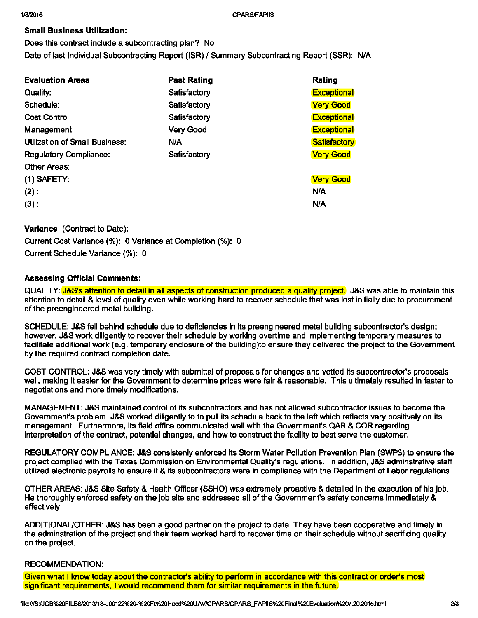# **Small Business Utilization:**

Does this contract include a subcontracting plan? No Date of last Individual Subcontracting Report (ISR) / Summary Subcontracting Report (SSR): N/A

| <b>Past Rating</b> | Rating              |
|--------------------|---------------------|
| Satisfactory       | <b>Exceptional</b>  |
| Satisfactory       | <b>Very Good</b>    |
| Satisfactory       | <b>Exceptional</b>  |
| <b>Very Good</b>   | <b>Exceptional</b>  |
| N/A                | <b>Satisfactory</b> |
| Satisfactory       | <b>Very Good</b>    |
|                    |                     |
|                    | <b>Very Good</b>    |
|                    | N/A                 |
|                    | N/A                 |
|                    |                     |

# **Variance** (Contract to Date):

Current Cost Variance (%): O Variance at Completion (%): O Current Schedule Variance (%): O

# **Assessing Official Comments:**

QUALITY: J&S's attention to detail in all aspects of construction produced a quality project. J&S was able to maintain this attention to detail & level of quality even while working hard to recover schedule that was lost initially due to procurement of the preengineered metal building.

SCHEDULE: J&S fell behind schedule due to deficiencies in its preengineered metal building subcontractor's design; however, J&S work diligently to recover their schedule by working overtime and implementing temporary measures to facilitate additional work (e.g. temporary enclosure of the building)to ensure they delivered the project to the Government by the required contract completion date.

COST CONTROL: J&S was very timely with submittal of proposals for changes and vetted its subcontractor's proposals well, making it easier for the Government to determine prices were fair & reasonable. This ultimately resulted in faster to negotiations and more timely modifications.

MANAGEMENT: J&S maintained control of its subcontractors and has not allowed subcontractor issues to become the Government's problem. J&S worked diligently to to pull its schedule back to the left which reflects very positively on its management. Furthermore, its field office communicated well with the Government's QAR & COR regarding interpretation of the contract, potential changes, and how to construct the facility to best serve the customer.

REGULATORY COMPLIANCE: J&S consistenly enforced its Storm Water Pollution Prevention Plan (SWP3) to ensure the project complied with the Texas Commission on Environmental Quality's regulations. In addition, J&S adminstrative staff utilized electronic payrolls to ensure it & its subcontractors were in compliance with the Department of Labor regulations.

OTHER AREAS: J&S Site Safety & Health Officer (SSHO) was extremely proactive & detailed in the execution of his job. He thoroughly enforced safety on the job site and addressed all of the Government's safety concerns immediately & effectively.

ADDITIONAL/OTHER: J&S has been a good partner on the project to date. They have been cooperative and timely in the adminstration of the project and their team worked hard to recover time on their schedule without sacrificing quality on the project.

# RECOMMENDATION:

Given what I know today about the contractor's ability to perform in accordance with this contract or order's most significant requirements, I would recommend them for similar requirements in the future.